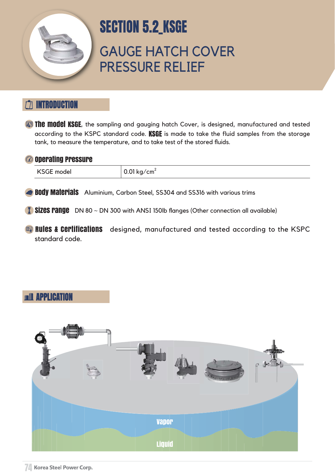### INTRODUCTION

**The model KSGE**, the sampling and gauging hatch Cover, is designed, manufactured and tested according to the KSPC standard code. KSGE is made to take the fluid samples from the storage tank, to measure the temperature, and to take test of the stored fluids.

#### <sup>2</sup> Operating Pressure



# GAUGE HATCH COVER PRESSURE RELIEF



# SECTION 5.2\_KSGE

**Rules & Certifications** designed, manufactured and tested according to the KSPC standard code.

#### **RELAPPLICATION**

| <b>KSGE model</b> | 0.01 kg/cm <sup>2</sup> |
|-------------------|-------------------------|
|-------------------|-------------------------|

**Body Materials** Aluminium, Carbon Steel, SS304 and SS316 with various trims

 $\overline{1}$  Sizes range DN 80  $\sim$  DN 300 with ANSI 150lb flanges (Other connection all available)